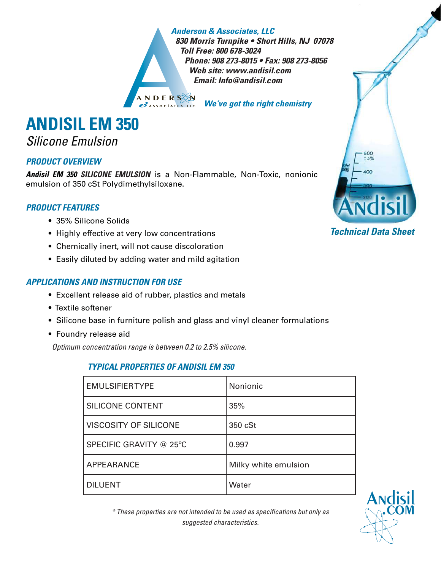#### *Anderson & Associates, LLC*

*830 Morris Turnpike • Short Hills, NJ 07078 Toll Free: 800 678-3024 Phone: 908 273-8015 • Fax: 908 273-8056 Web site: www.andisil.com Email: Info@andisil.com*

*We've got the right chemistry*

# **ANDISIL EM 350**

### Silicone Emulsion

#### *PRODUCT OVERVIEW*

*Andisil EM 350 SILICONE EMULSION* is a Non-Flammable, Non-Toxic, nonionic emulsion of 350 cSt Polydimethylsiloxane.

#### *PRODUCT FEATURES*

- 35% Silicone Solids •
- Highly effective at very low concentrations
- Chemically inert, will not cause discoloration •
- Easily diluted by adding water and mild agitation •

#### *APPLICATIONS AND INSTRUCTION FOR USE*

- Excellent release aid of rubber, plastics and metals •
- Textile softener •
- Silicone base in furniture polish and glass and vinyl cleaner formulations •
- **•** Foundry release aid

Optimum concentration range is between 0.2 to 2.5% silicone.

#### *TYPICAL PROPERTIES OF ANDISIL EM 350*

| <b>EMULSIFIERTYPE</b>        | Nonionic             |
|------------------------------|----------------------|
| <b>SILICONE CONTENT</b>      | 35%                  |
| <b>VISCOSITY OF SILICONE</b> | 350 cSt              |
| SPECIFIC GRAVITY @ 25°C      | 0.997                |
| APPEARANCE                   | Milky white emulsion |
| <b>DILUENT</b>               | Water                |



\* These properties are not intended to be used as specifi cations but only as suggested characteristics.

#### *Technical Data Sheet*